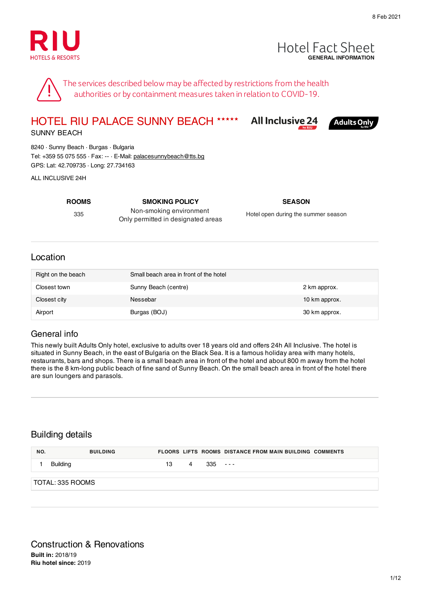



**Adults Only** 

The services described below may be affected by restrictions from the health authorities or by containment measures taken in relation to COVID-19.

#### **All Inclusive 24** HOTEL RIU PALACE SUNNY BEACH ★★★★★

SUNNY BEACH

8240 · Sunny Beach · Burgas · Bulgaria Tel: +359 55 075 555 · Fax: -- · E-Mail: palacesunnybeach@tts.bg GPS: Lat: 42.709735 · Long: 27.734163

ALL INCLUSIVE 24H

**ROOMS SMOKING POLICY SEASON** 335 Non-smoking environment Only permitted in designated areas

Hotel open during the summer season

#### Location

| Right on the beach | Small beach area in front of the hotel |               |
|--------------------|----------------------------------------|---------------|
| Closest town       | Sunny Beach (centre)                   | 2 km approx.  |
| Closest city       | Nessebar                               | 10 km approx. |
| Airport            | Burgas (BOJ)                           | 30 km approx. |

#### General info

This newly built Adults Only hotel, exclusive to adults over 18 years old and offers 24h All Inclusive. The hotel is situated in Sunny Beach, in the east of Bulgaria on the Black Sea. It is a famous holiday area with many hotels, restaurants, bars and shops. There is a small beach area in front of the hotel and about 800 m away from the hotel there is the 8 km-long public beach of fine sand of Sunny Beach. On the small beach area in front of the hotel there are sun loungers and parasols.

#### Building details

| NO. | <b>BUILDING</b>  |    |   |     | <b>FLOORS LIFTS ROOMS DISTANCE FROM MAIN BUILDING COMMENTS</b> |
|-----|------------------|----|---|-----|----------------------------------------------------------------|
|     | <b>Building</b>  | 13 | 4 | 335 | $\sim$ $ -$                                                    |
|     | TOTAL: 335 ROOMS |    |   |     |                                                                |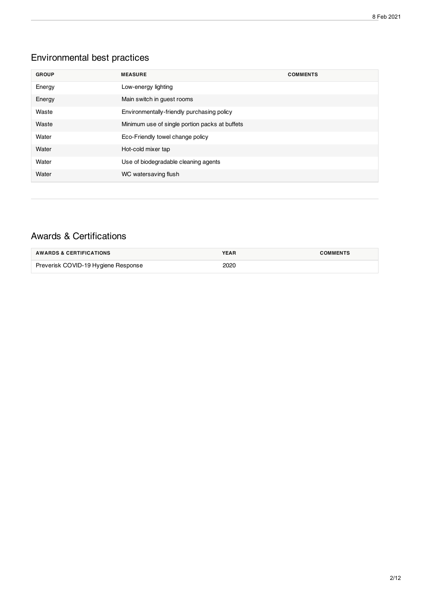### Environmental best practices

| <b>GROUP</b> | <b>MEASURE</b>                                 | <b>COMMENTS</b> |
|--------------|------------------------------------------------|-----------------|
| Energy       | Low-energy lighting                            |                 |
| Energy       | Main switch in guest rooms                     |                 |
| Waste        | Environmentally-friendly purchasing policy     |                 |
| Waste        | Minimum use of single portion packs at buffets |                 |
| Water        | Eco-Friendly towel change policy               |                 |
| Water        | Hot-cold mixer tap                             |                 |
| Water        | Use of biodegradable cleaning agents           |                 |
| Water        | WC watersaving flush                           |                 |

### Awards & Certifications

| <b>AWARDS &amp; CERTIFICATIONS</b>  | <b>YEAR</b> | <b>COMMENTS</b> |
|-------------------------------------|-------------|-----------------|
| Preverisk COVID-19 Hygiene Response | 2020        |                 |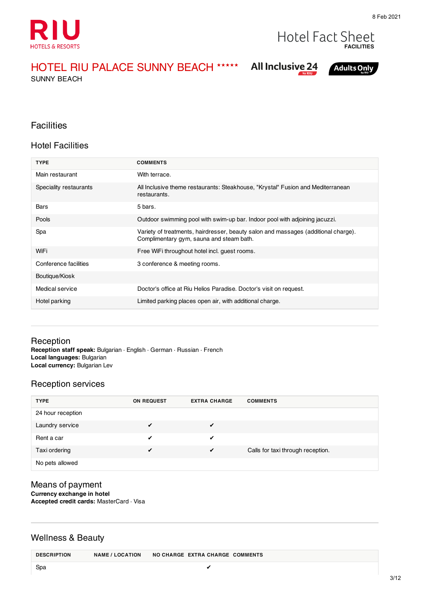

#### **Hotel Fact Sheet FACILITIES**

HOTEL RIU PALACE SUNNY BEACH ★★★★★

SUNNY BEACH

### **All Inclusive 24**

**Adults Only** 

#### **Facilities**

#### Hotel Facilities

| <b>TYPE</b>            | <b>COMMENTS</b>                                                                                                                |
|------------------------|--------------------------------------------------------------------------------------------------------------------------------|
| Main restaurant        | With terrace.                                                                                                                  |
| Speciality restaurants | All Inclusive theme restaurants: Steakhouse, "Krystal" Fusion and Mediterranean<br>restaurants.                                |
| Bars                   | 5 bars.                                                                                                                        |
| Pools                  | Outdoor swimming pool with swim-up bar. Indoor pool with adjoining jacuzzi.                                                    |
| Spa                    | Variety of treatments, hairdresser, beauty salon and massages (additional charge).<br>Complimentary gym, sauna and steam bath. |
| WiFi                   | Free WiFi throughout hotel incl. guest rooms.                                                                                  |
| Conference facilities  | 3 conference & meeting rooms.                                                                                                  |
| Boutique/Kiosk         |                                                                                                                                |
| Medical service        | Doctor's office at Riu Helios Paradise. Doctor's visit on request.                                                             |
| Hotel parking          | Limited parking places open air, with additional charge.                                                                       |

#### Reception

**Reception staff speak:** Bulgarian · English · German · Russian · French **Local languages:** Bulgarian **Local currency:** Bulgarian Lev

#### Reception services

| <b>TYPE</b>       | <b>ON REQUEST</b> | <b>EXTRA CHARGE</b> | <b>COMMENTS</b>                   |
|-------------------|-------------------|---------------------|-----------------------------------|
| 24 hour reception |                   |                     |                                   |
| Laundry service   | ✔                 | ✔                   |                                   |
| Rent a car        |                   | ✔                   |                                   |
| Taxi ordering     | ✔                 | $\sqrt{ }$          | Calls for taxi through reception. |
| No pets allowed   |                   |                     |                                   |

#### Means of payment **Currency exchange in hotel Accepted credit cards:** MasterCard · Visa

#### Wellness & Beauty

**DESCRIPTION NAME / LOCATION NO CHARGE EXTRA CHARGE COMMENTS**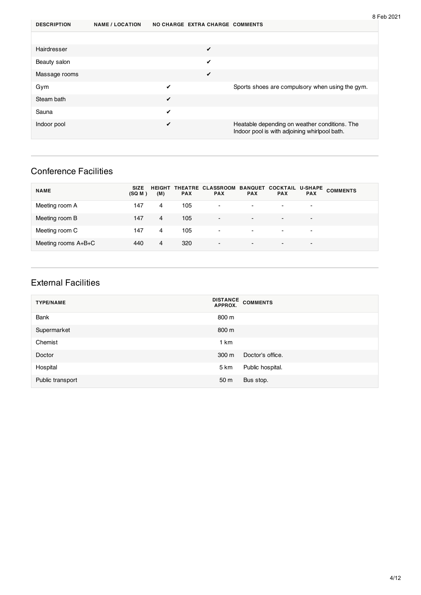| <b>DESCRIPTION</b> | <b>NAME / LOCATION</b> |   | NO CHARGE EXTRA CHARGE COMMENTS |                                                                                                |
|--------------------|------------------------|---|---------------------------------|------------------------------------------------------------------------------------------------|
|                    |                        |   |                                 |                                                                                                |
| Hairdresser        |                        |   | ✓                               |                                                                                                |
| Beauty salon       |                        |   | ✔                               |                                                                                                |
| Massage rooms      |                        |   | ✔                               |                                                                                                |
| Gym                |                        | ✔ |                                 | Sports shoes are compulsory when using the gym.                                                |
| Steam bath         |                        | ✔ |                                 |                                                                                                |
| Sauna              |                        | ✔ |                                 |                                                                                                |
| Indoor pool        |                        | ✔ |                                 | Heatable depending on weather conditions. The<br>Indoor pool is with adjoining whirlpool bath. |

### Conference Facilities

| <b>NAME</b>         | <b>SIZE</b><br>(SQ M) | (M) | <b>PAX</b> | HEIGHT THEATRE CLASSROOM BANQUET COCKTAIL<br><b>PAX</b> | <b>PAX</b>               | <b>PAX</b>               | <b>PAX</b>               | U-SHAPE COMMENTS |
|---------------------|-----------------------|-----|------------|---------------------------------------------------------|--------------------------|--------------------------|--------------------------|------------------|
| Meeting room A      | 147                   | 4   | 105        | ٠                                                       | $\overline{\phantom{a}}$ |                          |                          |                  |
| Meeting room B      | 147                   | 4   | 105        | $\overline{\phantom{a}}$                                | $\blacksquare$           | $\overline{\phantom{0}}$ | $\overline{\phantom{0}}$ |                  |
| Meeting room C      | 147                   | 4   | 105        | $\blacksquare$                                          | $\blacksquare$           | $\blacksquare$           | $\blacksquare$           |                  |
| Meeting rooms A+B+C | 440                   | 4   | 320        | $\overline{\phantom{a}}$                                | $\blacksquare$           | $\overline{\phantom{0}}$ | $\overline{\phantom{0}}$ |                  |

#### External Facilities

| <b>TYPE/NAME</b> | DISTANCE COMMENTS         |
|------------------|---------------------------|
| <b>Bank</b>      | 800 m                     |
| Supermarket      | 800 m                     |
| Chemist          | 1 km                      |
| Doctor           | Doctor's office.<br>300 m |
| Hospital         | Public hospital.<br>5 km  |
| Public transport | 50 m<br>Bus stop.         |

8 Feb 2021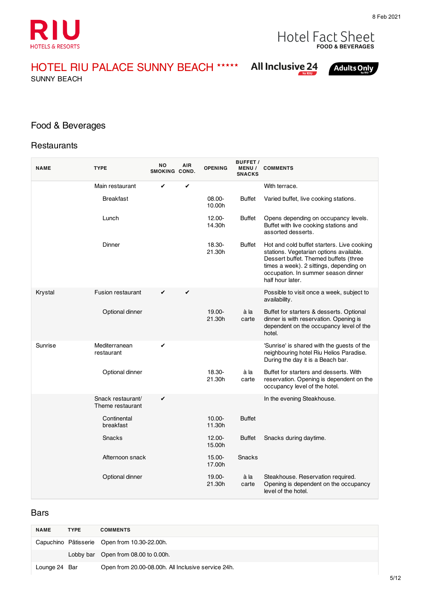

# **FOOD & BEVERAGES**

HOTEL RIU PALACE SUNNY BEACH ★★★★★

SUNNY BEACH

## **All Inclusive 24**

**Adults Only** 

### Food & Beverages

#### **Restaurants**

| <b>NAME</b> | <b>TYPE</b>                           | <b>NO</b><br>SMOKING COND. | <b>AIR</b> | <b>OPENING</b>      | <b>BUFFET /</b><br><b>MENU /</b><br><b>SNACKS</b> | <b>COMMENTS</b>                                                                                                                                                                                                                      |
|-------------|---------------------------------------|----------------------------|------------|---------------------|---------------------------------------------------|--------------------------------------------------------------------------------------------------------------------------------------------------------------------------------------------------------------------------------------|
|             | Main restaurant                       | ✔                          | ✔          |                     |                                                   | With terrace.                                                                                                                                                                                                                        |
|             | <b>Breakfast</b>                      |                            |            | 08.00-<br>10.00h    | Buffet                                            | Varied buffet, live cooking stations.                                                                                                                                                                                                |
|             | Lunch                                 |                            |            | 12.00-<br>14.30h    | <b>Buffet</b>                                     | Opens depending on occupancy levels.<br>Buffet with live cooking stations and<br>assorted desserts.                                                                                                                                  |
|             | Dinner                                |                            |            | 18.30-<br>21.30h    | <b>Buffet</b>                                     | Hot and cold buffet starters. Live cooking<br>stations. Vegetarian options available.<br>Dessert buffet. Themed buffets (three<br>times a week). 2 sittings, depending on<br>occupation. In summer season dinner<br>half hour later. |
| Krystal     | <b>Fusion restaurant</b>              | ✔                          | ✔          |                     |                                                   | Possible to visit once a week, subject to<br>availability.                                                                                                                                                                           |
|             | Optional dinner                       |                            |            | 19.00-<br>21.30h    | à la<br>carte                                     | Buffet for starters & desserts. Optional<br>dinner is with reservation. Opening is<br>dependent on the occupancy level of the<br>hotel.                                                                                              |
| Sunrise     | Mediterranean<br>restaurant           | ✔                          |            |                     |                                                   | 'Sunrise' is shared with the guests of the<br>neighbouring hotel Riu Helios Paradise.<br>During the day it is a Beach bar.                                                                                                           |
|             | Optional dinner                       |                            |            | 18.30-<br>21.30h    | à la<br>carte                                     | Buffet for starters and desserts. With<br>reservation. Opening is dependent on the<br>occupancy level of the hotel.                                                                                                                  |
|             | Snack restaurant/<br>Theme restaurant | ✔                          |            |                     |                                                   | In the evening Steakhouse.                                                                                                                                                                                                           |
|             | Continental<br>breakfast              |                            |            | $10.00 -$<br>11.30h | <b>Buffet</b>                                     |                                                                                                                                                                                                                                      |
|             | Snacks                                |                            |            | 12.00-<br>15.00h    | <b>Buffet</b>                                     | Snacks during daytime.                                                                                                                                                                                                               |
|             | Afternoon snack                       |                            |            | 15.00-<br>17.00h    | <b>Snacks</b>                                     |                                                                                                                                                                                                                                      |
|             | Optional dinner                       |                            |            | 19.00-<br>21.30h    | à la<br>carte                                     | Steakhouse. Reservation required.<br>Opening is dependent on the occupancy<br>level of the hotel.                                                                                                                                    |

#### Bars

| <b>NAME</b>   | <b>TYPE</b> | <b>COMMENTS</b>                                    |
|---------------|-------------|----------------------------------------------------|
|               |             | Capuchino Pâtisserie Open from 10.30-22.00h.       |
|               |             | Lobby bar Open from 08.00 to 0.00h.                |
| Lounge 24 Bar |             | Open from 20.00-08.00h. All Inclusive service 24h. |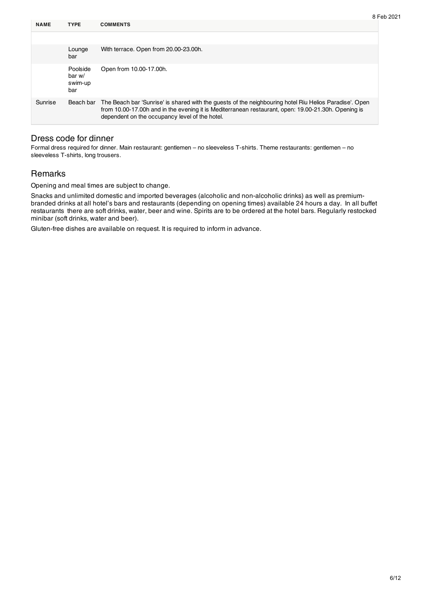| <b>NAME</b> | <b>TYPE</b>                          | <b>COMMENTS</b>                                                                                                                                                                                                                                                 |
|-------------|--------------------------------------|-----------------------------------------------------------------------------------------------------------------------------------------------------------------------------------------------------------------------------------------------------------------|
|             |                                      |                                                                                                                                                                                                                                                                 |
|             | Lounge<br>bar                        | With terrace. Open from 20.00-23.00h.                                                                                                                                                                                                                           |
|             | Poolside<br>bar w/<br>swim-up<br>bar | Open from 10.00-17.00h.                                                                                                                                                                                                                                         |
| Sunrise     | Beach bar                            | The Beach bar 'Sunrise' is shared with the guests of the neighbouring hotel Riu Helios Paradise'. Open<br>from 10.00-17.00h and in the evening it is Mediterranean restaurant, open: 19.00-21.30h. Opening is<br>dependent on the occupancy level of the hotel. |

#### Dress code for dinner

Formal dress required for dinner. Main restaurant: gentlemen – no sleeveless T-shirts. Theme restaurants: gentlemen – no sleeveless T-shirts, long trousers.

#### **Remarks**

Opening and meal times are subject to change.

Snacks and unlimited domestic and imported beverages (alcoholic and non-alcoholic drinks) as well as premiumbranded drinks at all hotel's bars and restaurants (depending on opening times) available 24 hours a day. In all buffet restaurants there are soft drinks, water, beer and wine. Spirits are to be ordered at the hotel bars. Regularly restocked minibar (soft drinks, water and beer).

Gluten-free dishes are available on request. It is required to inform in advance.

8 Feb 2021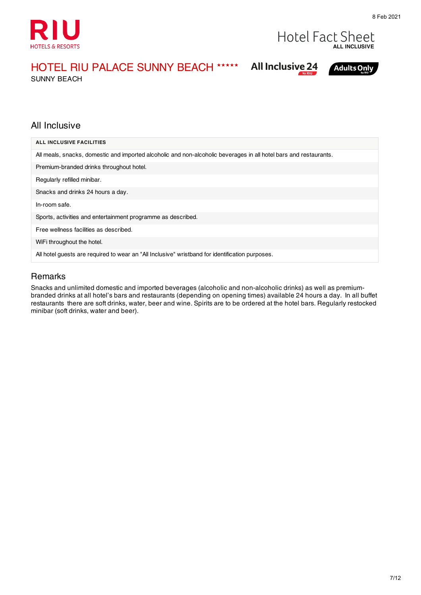

### **Hotel Fact Sheet ALL INCLUSIVE**

**Adults Only** 

**All Inclusive 24** 

### HOTEL RIU PALACE SUNNY BEACH ★★★★★

SUNNY BEACH

#### All Inclusive

| <b>ALL INCLUSIVE FACILITIES</b>                                                                                   |
|-------------------------------------------------------------------------------------------------------------------|
| All meals, snacks, domestic and imported alcoholic and non-alcoholic beverages in all hotel bars and restaurants. |
| Premium-branded drinks throughout hotel.                                                                          |
| Regularly refilled minibar.                                                                                       |
| Snacks and drinks 24 hours a day.                                                                                 |
| In-room safe.                                                                                                     |
| Sports, activities and entertainment programme as described.                                                      |
| Free wellness facilities as described.                                                                            |
| WiFi throughout the hotel.                                                                                        |
| All hotel guests are required to wear an "All Inclusive" wristband for identification purposes.                   |

#### Remarks

Snacks and unlimited domestic and imported beverages (alcoholic and non-alcoholic drinks) as well as premiumbranded drinks at all hotel's bars and restaurants (depending on opening times) available 24 hours a day. In all buffet restaurants there are soft drinks, water, beer and wine. Spirits are to be ordered at the hotel bars. Regularly restocked minibar (soft drinks, water and beer).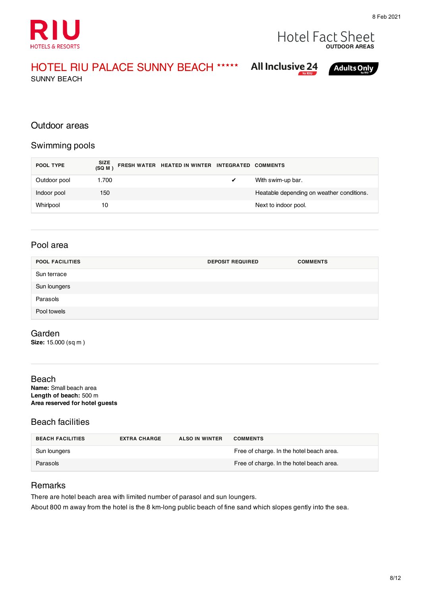



### HOTEL RIU PALACE SUNNY BEACH ★★★★★

SUNNY BEACH

| <b>All Inclusive 24</b> |  |
|-------------------------|--|
|                         |  |



#### Outdoor areas

#### Swimming pools

| POOL TYPE    | SIZE<br>(SQ M ) | FRESH WATER HEATED IN WINTER INTEGRATED COMMENTS |                                           |
|--------------|-----------------|--------------------------------------------------|-------------------------------------------|
| Outdoor pool | 1.700           |                                                  | With swim-up bar.                         |
| Indoor pool  | 150             |                                                  | Heatable depending on weather conditions. |
| Whirlpool    | 10              |                                                  | Next to indoor pool.                      |

#### Pool area

| <b>POOL FACILITIES</b> | <b>DEPOSIT REQUIRED</b> | <b>COMMENTS</b> |
|------------------------|-------------------------|-----------------|
| Sun terrace            |                         |                 |
| Sun loungers           |                         |                 |
| Parasols               |                         |                 |
| Pool towels            |                         |                 |

#### Garden

**Size:** 15.000 (sq m )

#### Beach

**Name:** Small beach area **Length of beach:** 500 m **Area reserved for hotel guests**

#### Beach facilities

| <b>BEACH FACILITIES</b> | <b>EXTRA CHARGE</b> | <b>ALSO IN WINTER</b> | <b>COMMENTS</b>                          |
|-------------------------|---------------------|-----------------------|------------------------------------------|
| Sun loungers            |                     |                       | Free of charge. In the hotel beach area. |
| Parasols                |                     |                       | Free of charge. In the hotel beach area. |

#### Remarks

There are hotel beach area with limited number of parasol and sun loungers.

About 800 m away from the hotel is the 8 km-long public beach of fine sand which slopes gently into the sea.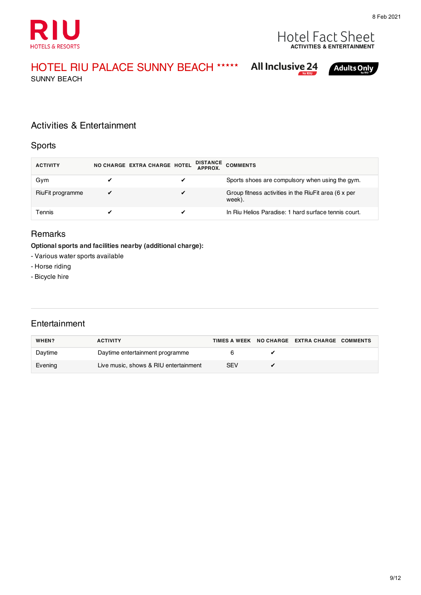



### HOTEL RIU PALACE SUNNY BEACH ★★★★★

SUNNY BEACH

### **All Inclusive 24**



#### Activities & Entertainment

#### Sports

| <b>ACTIVITY</b>  | NO CHARGE EXTRA CHARGE HOTEL |   | DISTANCE COMMENTS                                              |
|------------------|------------------------------|---|----------------------------------------------------------------|
| Gym              |                              |   | Sports shoes are compulsory when using the gym.                |
| RiuFit programme | $\checkmark$                 | ✔ | Group fitness activities in the RiuFit area (6 x per<br>week). |
| Tennis           |                              |   | In Riu Helios Paradise: 1 hard surface tennis court.           |

#### Remarks

#### **Optional sports and facilities nearby (additional charge):**

- Various water sports available
- Horse riding
- Bicycle hire

#### **Entertainment**

| WHEN?   | <b>ACTIVITY</b>                       |     | TIMES A WEEK NO CHARGE EXTRA CHARGE COMMENTS |  |
|---------|---------------------------------------|-----|----------------------------------------------|--|
| Daytime | Daytime entertainment programme       |     |                                              |  |
| Evening | Live music, shows & RIU entertainment | SEV |                                              |  |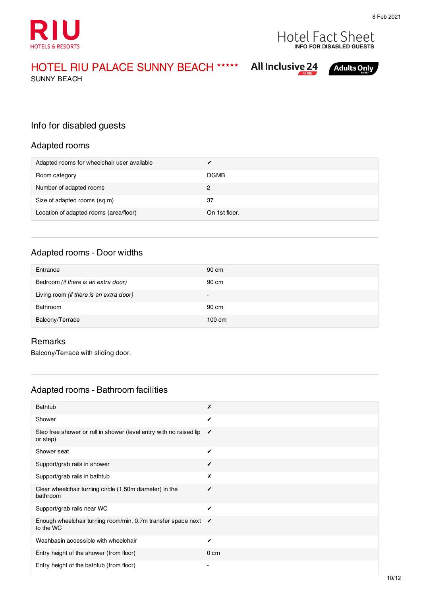



### HOTEL RIU PALACE SUNNY BEACH ★★★★★

SUNNY BEACH

|  | <b>All Inclusive 24</b> |                |
|--|-------------------------|----------------|
|  |                         | $\sum$ by RIII |



Info for disabled guests

#### Adapted rooms

| Adapted rooms for wheelchair user available |               |
|---------------------------------------------|---------------|
| Room category                               | <b>DGMB</b>   |
| Number of adapted rooms                     | 2             |
| Size of adapted rooms (sq m)                | 37            |
| Location of adapted rooms (area/floor)      | On 1st floor. |

#### Adapted rooms - Door widths

| Entrance                                | 90 cm            |
|-----------------------------------------|------------------|
| Bedroom (if there is an extra door)     | 90 cm            |
| Living room (if there is an extra door) | $\sim$           |
| Bathroom                                | 90 cm            |
| Balcony/Terrace                         | $100 \text{ cm}$ |

#### Remarks

Balcony/Terrace with sliding door.

#### Adapted rooms - Bathroom facilities

| <b>Bathtub</b>                                                                 | Х               |
|--------------------------------------------------------------------------------|-----------------|
| Shower                                                                         | $\checkmark$    |
| Step free shower or roll in shower (level entry with no raised lip<br>or step) | ✓               |
| Shower seat                                                                    | ✓               |
| Support/grab rails in shower                                                   | ✓               |
| Support/grab rails in bathtub                                                  | Х               |
| Clear wheelchair turning circle (1.50m diameter) in the<br>bathroom            | ✓               |
| Support/grab rails near WC                                                     | $\checkmark$    |
| Enough wheelchair turning room/min. 0.7m transfer space next ✔<br>to the WC    |                 |
| Washbasin accessible with wheelchair                                           | ✔               |
| Entry height of the shower (from floor)                                        | 0 <sub>cm</sub> |
| Entry height of the bathtub (from floor)                                       |                 |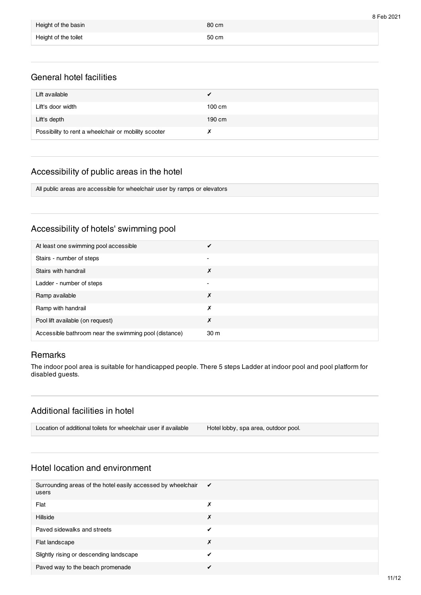|                      |       | 8 Feb 2021 |
|----------------------|-------|------------|
| Height of the basin  | 80 cm |            |
| Height of the toilet | 50 cm |            |

#### General hotel facilities

| Lift available                                       |                  |
|------------------------------------------------------|------------------|
| Lift's door width                                    | $100 \text{ cm}$ |
| Lift's depth                                         | 190 cm           |
| Possibility to rent a wheelchair or mobility scooter |                  |

#### Accessibility of public areas in the hotel

All public areas are accessible for wheelchair user by ramps or elevators

#### Accessibility of hotels' swimming pool

| At least one swimming pool accessible                 |                          |
|-------------------------------------------------------|--------------------------|
| Stairs - number of steps                              | $\overline{\phantom{0}}$ |
| Stairs with handrail                                  | Х                        |
| Ladder - number of steps                              |                          |
| Ramp available                                        | х                        |
| Ramp with handrail                                    | х                        |
| Pool lift available (on request)                      | Х                        |
| Accessible bathroom near the swimming pool (distance) | 30 <sub>m</sub>          |

#### **Remarks**

The indoor pool area is suitable for handicapped people. There 5 steps Ladder at indoor pool and pool platform for disabled guests.

#### Additional facilities in hotel

| Location of additional toilets for wheelchair user if available | Hotel lobby, spa area, outdoor pool. |  |
|-----------------------------------------------------------------|--------------------------------------|--|
|-----------------------------------------------------------------|--------------------------------------|--|

#### Hotel location and environment

| Surrounding areas of the hotel easily accessed by wheelchair<br>users | $\checkmark$ |
|-----------------------------------------------------------------------|--------------|
| Flat                                                                  | Х            |
| Hillside                                                              | Х            |
| Paved sidewalks and streets                                           | ✔            |
| Flat landscape                                                        | Х            |
| Slightly rising or descending landscape                               |              |
| Paved way to the beach promenade                                      |              |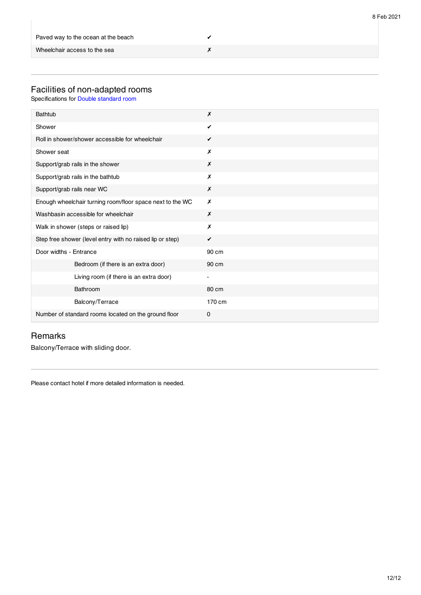| Paved way to the ocean at the beach |  |
|-------------------------------------|--|
| Wheelchair access to the sea        |  |

#### Facilities of non-adapted rooms

Specifications for Double standard room

| Bathtub                                                   | Х                        |
|-----------------------------------------------------------|--------------------------|
| Shower                                                    | ✓                        |
| Roll in shower/shower accessible for wheelchair           | $\checkmark$             |
| Shower seat                                               | Х                        |
| Support/grab rails in the shower                          | X                        |
| Support/grab rails in the bathtub                         | Х                        |
| Support/grab rails near WC                                | Х                        |
| Enough wheelchair turning room/floor space next to the WC | X                        |
| Washbasin accessible for wheelchair                       | X                        |
| Walk in shower (steps or raised lip)                      | Х                        |
| Step free shower (level entry with no raised lip or step) | ✔                        |
| Door widths - Entrance                                    | 90 cm                    |
| Bedroom (if there is an extra door)                       | 90 cm                    |
| Living room (if there is an extra door)                   | $\overline{\phantom{0}}$ |
| Bathroom                                                  | 80 cm                    |
| Balcony/Terrace                                           | 170 cm                   |
| Number of standard rooms located on the ground floor      | 0                        |

#### Remarks

Balcony/Terrace with sliding door.

Please contact hotel if more detailed information is needed.